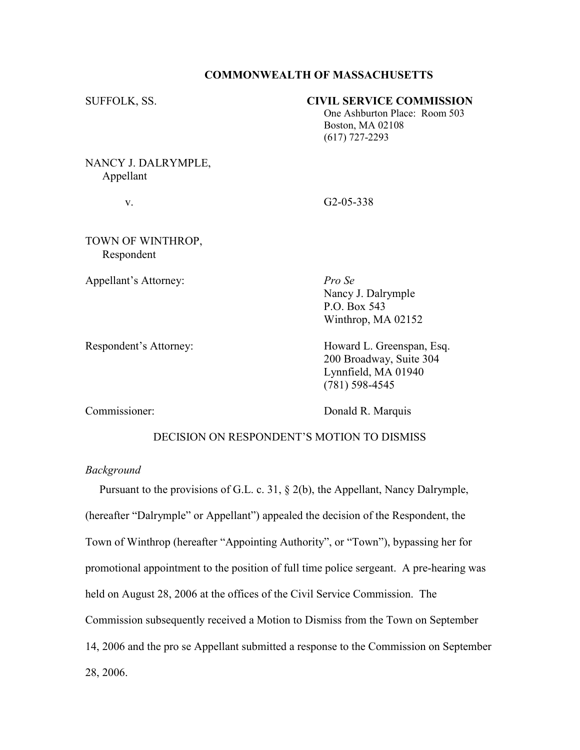## COMMONWEALTH OF MASSACHUSETTS

| SUFFOLK, SS.        | <b>CIVIL SERVICE COMMISSION</b> |
|---------------------|---------------------------------|
|                     | One Ashburton Place: Room 503   |
|                     | <b>Boston, MA 02108</b>         |
|                     | $(617)$ 727-2293                |
|                     |                                 |
| NANCY J. DALRYMPLE, |                                 |

NANCY J. DALRYMP Appellant

v. G2-05-338

TOWN OF WINTHROP, Respondent

Appellant's Attorney: Pro Se

 Nancy J. Dalrymple P.O. Box 543 Winthrop, MA 02152

Respondent's Attorney: Howard L. Greenspan, Esq. 200 Broadway, Suite 304 Lynnfield, MA 01940 (781) 598-4545

Commissioner: Donald R. Marquis

# DECISION ON RESPONDENT'S MOTION TO DISMISS

## Background

 Pursuant to the provisions of G.L. c. 31, § 2(b), the Appellant, Nancy Dalrymple, (hereafter "Dalrymple" or Appellant") appealed the decision of the Respondent, the Town of Winthrop (hereafter "Appointing Authority", or "Town"), bypassing her for promotional appointment to the position of full time police sergeant. A pre-hearing was held on August 28, 2006 at the offices of the Civil Service Commission. The Commission subsequently received a Motion to Dismiss from the Town on September 14, 2006 and the pro se Appellant submitted a response to the Commission on September 28, 2006.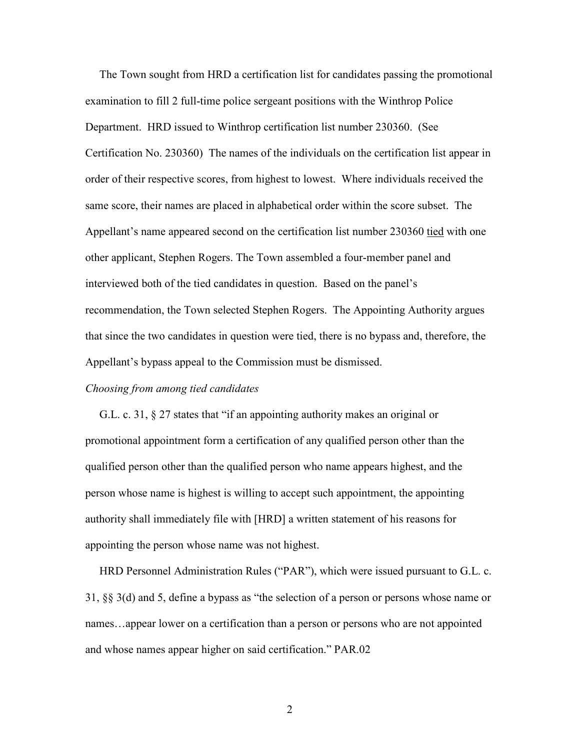The Town sought from HRD a certification list for candidates passing the promotional examination to fill 2 full-time police sergeant positions with the Winthrop Police Department. HRD issued to Winthrop certification list number 230360. (See Certification No. 230360) The names of the individuals on the certification list appear in order of their respective scores, from highest to lowest. Where individuals received the same score, their names are placed in alphabetical order within the score subset. The Appellant's name appeared second on the certification list number 230360 tied with one other applicant, Stephen Rogers. The Town assembled a four-member panel and interviewed both of the tied candidates in question. Based on the panel's recommendation, the Town selected Stephen Rogers. The Appointing Authority argues that since the two candidates in question were tied, there is no bypass and, therefore, the Appellant's bypass appeal to the Commission must be dismissed.

## Choosing from among tied candidates

 G.L. c. 31, § 27 states that "if an appointing authority makes an original or promotional appointment form a certification of any qualified person other than the qualified person other than the qualified person who name appears highest, and the person whose name is highest is willing to accept such appointment, the appointing authority shall immediately file with [HRD] a written statement of his reasons for appointing the person whose name was not highest.

 HRD Personnel Administration Rules ("PAR"), which were issued pursuant to G.L. c. 31, §§ 3(d) and 5, define a bypass as "the selection of a person or persons whose name or names…appear lower on a certification than a person or persons who are not appointed and whose names appear higher on said certification." PAR.02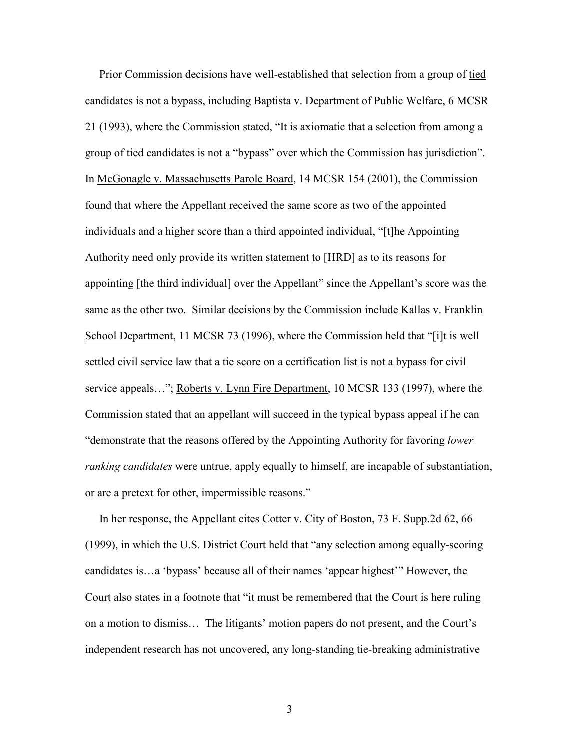Prior Commission decisions have well-established that selection from a group of tied candidates is not a bypass, including Baptista v. Department of Public Welfare, 6 MCSR 21 (1993), where the Commission stated, "It is axiomatic that a selection from among a group of tied candidates is not a "bypass" over which the Commission has jurisdiction". In McGonagle v. Massachusetts Parole Board, 14 MCSR 154 (2001), the Commission found that where the Appellant received the same score as two of the appointed individuals and a higher score than a third appointed individual, "[t]he Appointing Authority need only provide its written statement to [HRD] as to its reasons for appointing [the third individual] over the Appellant" since the Appellant's score was the same as the other two. Similar decisions by the Commission include Kallas v. Franklin School Department, 11 MCSR 73 (1996), where the Commission held that "[i]t is well settled civil service law that a tie score on a certification list is not a bypass for civil service appeals..."; Roberts v. Lynn Fire Department, 10 MCSR 133 (1997), where the Commission stated that an appellant will succeed in the typical bypass appeal if he can "demonstrate that the reasons offered by the Appointing Authority for favoring lower *ranking candidates* were untrue, apply equally to himself, are incapable of substantiation, or are a pretext for other, impermissible reasons."

 In her response, the Appellant cites Cotter v. City of Boston, 73 F. Supp.2d 62, 66 (1999), in which the U.S. District Court held that "any selection among equally-scoring candidates is…a 'bypass' because all of their names 'appear highest'" However, the Court also states in a footnote that "it must be remembered that the Court is here ruling on a motion to dismiss… The litigants' motion papers do not present, and the Court's independent research has not uncovered, any long-standing tie-breaking administrative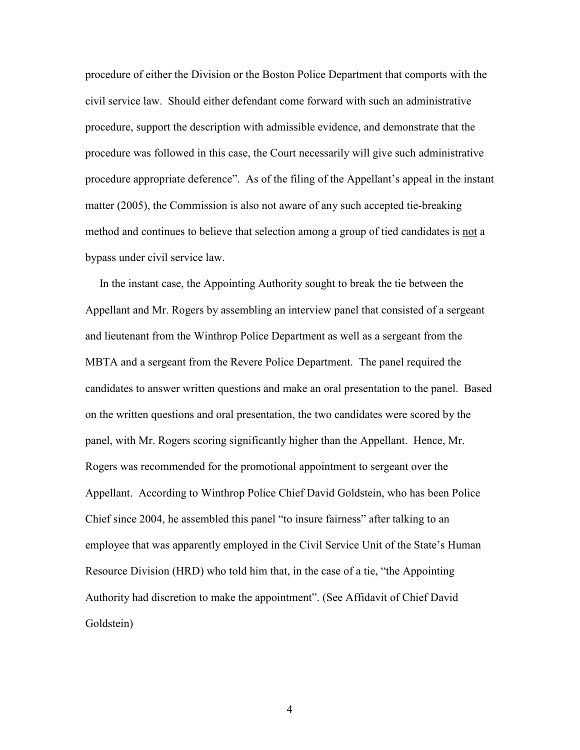procedure of either the Division or the Boston Police Department that comports with the civil service law. Should either defendant come forward with such an administrative procedure, support the description with admissible evidence, and demonstrate that the procedure was followed in this case, the Court necessarily will give such administrative procedure appropriate deference". As of the filing of the Appellant's appeal in the instant matter (2005), the Commission is also not aware of any such accepted tie-breaking method and continues to believe that selection among a group of tied candidates is not a bypass under civil service law.

 In the instant case, the Appointing Authority sought to break the tie between the Appellant and Mr. Rogers by assembling an interview panel that consisted of a sergeant and lieutenant from the Winthrop Police Department as well as a sergeant from the MBTA and a sergeant from the Revere Police Department. The panel required the candidates to answer written questions and make an oral presentation to the panel. Based on the written questions and oral presentation, the two candidates were scored by the panel, with Mr. Rogers scoring significantly higher than the Appellant. Hence, Mr. Rogers was recommended for the promotional appointment to sergeant over the Appellant. According to Winthrop Police Chief David Goldstein, who has been Police Chief since 2004, he assembled this panel "to insure fairness" after talking to an employee that was apparently employed in the Civil Service Unit of the State's Human Resource Division (HRD) who told him that, in the case of a tie, "the Appointing Authority had discretion to make the appointment". (See Affidavit of Chief David Goldstein)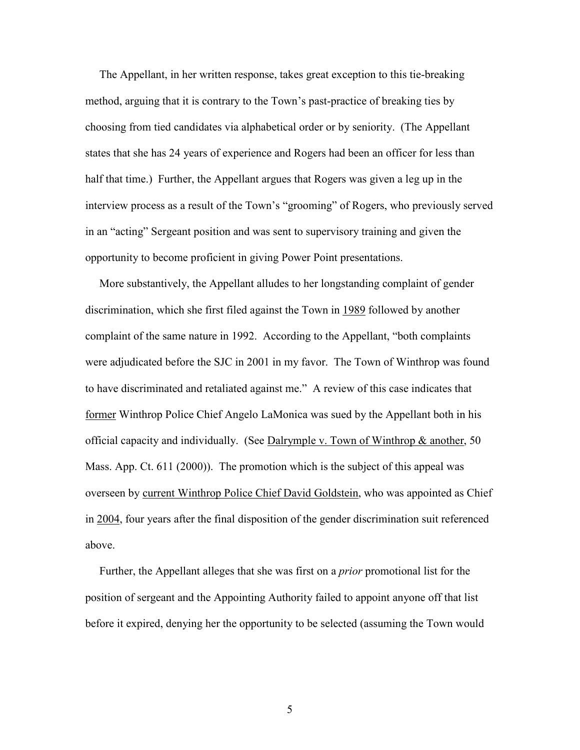The Appellant, in her written response, takes great exception to this tie-breaking method, arguing that it is contrary to the Town's past-practice of breaking ties by choosing from tied candidates via alphabetical order or by seniority. (The Appellant states that she has 24 years of experience and Rogers had been an officer for less than half that time.) Further, the Appellant argues that Rogers was given a leg up in the interview process as a result of the Town's "grooming" of Rogers, who previously served in an "acting" Sergeant position and was sent to supervisory training and given the opportunity to become proficient in giving Power Point presentations.

 More substantively, the Appellant alludes to her longstanding complaint of gender discrimination, which she first filed against the Town in 1989 followed by another complaint of the same nature in 1992. According to the Appellant, "both complaints were adjudicated before the SJC in 2001 in my favor. The Town of Winthrop was found to have discriminated and retaliated against me." A review of this case indicates that former Winthrop Police Chief Angelo LaMonica was sued by the Appellant both in his official capacity and individually. (See Dalrymple v. Town of Winthrop & another, 50 Mass. App. Ct. 611 (2000)). The promotion which is the subject of this appeal was overseen by current Winthrop Police Chief David Goldstein, who was appointed as Chief in 2004, four years after the final disposition of the gender discrimination suit referenced above.

 Further, the Appellant alleges that she was first on a prior promotional list for the position of sergeant and the Appointing Authority failed to appoint anyone off that list before it expired, denying her the opportunity to be selected (assuming the Town would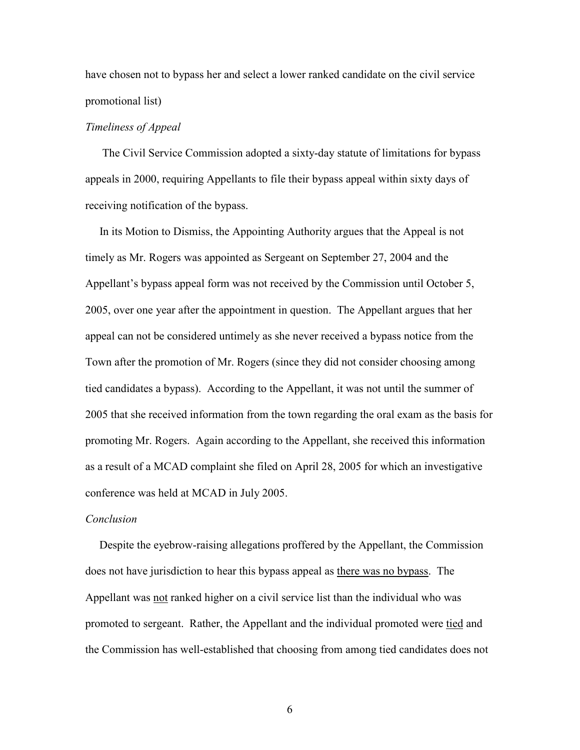have chosen not to bypass her and select a lower ranked candidate on the civil service promotional list)

## Timeliness of Appeal

 The Civil Service Commission adopted a sixty-day statute of limitations for bypass appeals in 2000, requiring Appellants to file their bypass appeal within sixty days of receiving notification of the bypass.

 In its Motion to Dismiss, the Appointing Authority argues that the Appeal is not timely as Mr. Rogers was appointed as Sergeant on September 27, 2004 and the Appellant's bypass appeal form was not received by the Commission until October 5, 2005, over one year after the appointment in question. The Appellant argues that her appeal can not be considered untimely as she never received a bypass notice from the Town after the promotion of Mr. Rogers (since they did not consider choosing among tied candidates a bypass). According to the Appellant, it was not until the summer of 2005 that she received information from the town regarding the oral exam as the basis for promoting Mr. Rogers. Again according to the Appellant, she received this information as a result of a MCAD complaint she filed on April 28, 2005 for which an investigative conference was held at MCAD in July 2005.

#### Conclusion

 Despite the eyebrow-raising allegations proffered by the Appellant, the Commission does not have jurisdiction to hear this bypass appeal as there was no bypass. The Appellant was not ranked higher on a civil service list than the individual who was promoted to sergeant. Rather, the Appellant and the individual promoted were tied and the Commission has well-established that choosing from among tied candidates does not